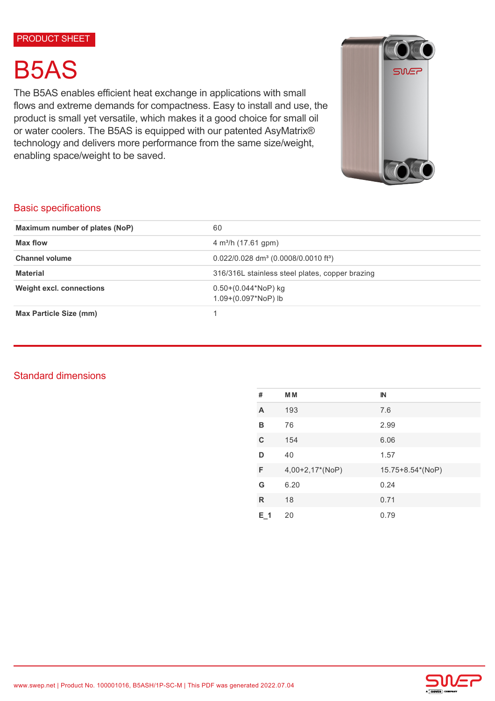# B5AS

The B5AS enables efficient heat exchange in applications with small flows and extreme demands for compactness. Easy to install and use, the product is small yet versatile, which makes it a good choice for small oil or water coolers. The B5AS is equipped with our patented AsyMatrix® technology and delivers more performance from the same size/weight, enabling space/weight to be saved.



# Basic specifications

| Maximum number of plates (NoP)                                                    | 60                                                             |  |
|-----------------------------------------------------------------------------------|----------------------------------------------------------------|--|
| Max flow                                                                          | $4 \text{ m}^3$ /h (17.61 gpm)                                 |  |
| <b>Channel volume</b>                                                             | $0.022/0.028$ dm <sup>3</sup> (0.0008/0.0010 ft <sup>3</sup> ) |  |
| <b>Material</b>                                                                   | 316/316L stainless steel plates, copper brazing                |  |
| <b>Weight excl. connections</b><br>$0.50+(0.044*NoP)$ kg<br>$1.09+(0.097*NoP)$ lb |                                                                |  |
| <b>Max Particle Size (mm)</b>                                                     |                                                                |  |

# Standard dimensions

| #       | <b>MM</b>       | $\mathbb{N}$     |
|---------|-----------------|------------------|
| A       | 193             | 7.6              |
| в       | 76              | 2.99             |
| C       | 154             | 6.06             |
| D       | 40              | 1.57             |
| F       | 4,00+2,17*(NoP) | 15.75+8.54*(NoP) |
| G       | 6.20            | 0.24             |
| R       | 18              | 0.71             |
| $E_1$ 1 | 20              | 0.79             |